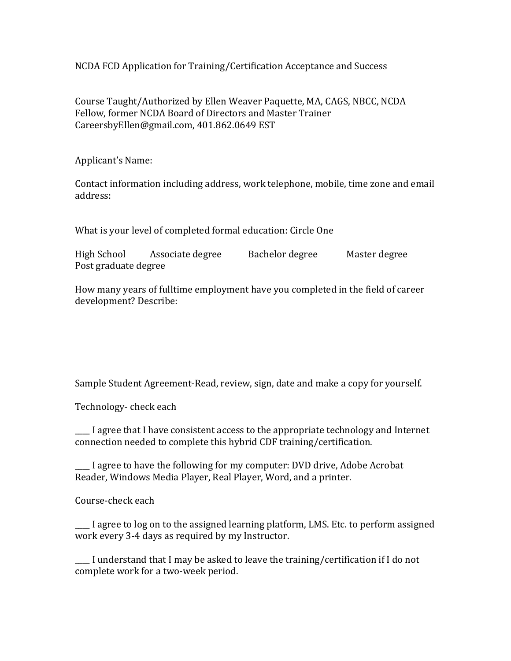NCDA FCD Application for Training/Certification Acceptance and Success

Course Taught/Authorized by Ellen Weaver Paquette, MA, CAGS, NBCC, NCDA Fellow, former NCDA Board of Directors and Master Trainer CareersbyEllen@gmail.com, 401.862.0649 EST

Applicant's Name:

Contact information including address, work telephone, mobile, time zone and email address:

What is your level of completed formal education: Circle One

High School Associate degree Bachelor degree Master degree Post graduate degree

How many years of fulltime employment have you completed in the field of career development? Describe:

Sample Student Agreement-Read, review, sign, date and make a copy for yourself.

Technology- check each

\_\_\_\_ I agree that I have consistent access to the appropriate technology and Internet connection needed to complete this hybrid CDF training/certification.

\_\_\_\_ I agree to have the following for my computer: DVD drive, Adobe Acrobat Reader, Windows Media Player, Real Player, Word, and a printer.

Course-check each

\_\_\_\_ I agree to log on to the assigned learning platform, LMS. Etc. to perform assigned work every 3-4 days as required by my Instructor.

\_\_\_\_ I understand that I may be asked to leave the training/certification if I do not complete work for a two-week period.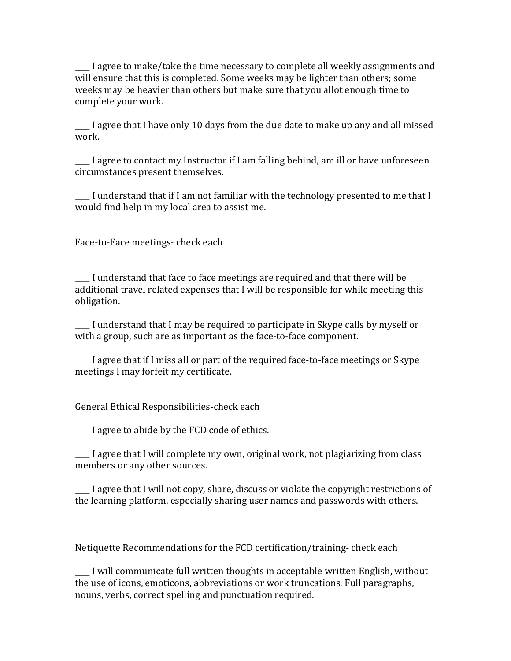\_\_\_\_ I agree to make/take the time necessary to complete all weekly assignments and will ensure that this is completed. Some weeks may be lighter than others; some weeks may be heavier than others but make sure that you allot enough time to complete your work.

I agree that I have only 10 days from the due date to make up any and all missed work.

\_\_\_\_ I agree to contact my Instructor if I am falling behind, am ill or have unforeseen circumstances present themselves.

\_\_\_\_ I understand that if I am not familiar with the technology presented to me that I would find help in my local area to assist me.

Face-to-Face meetings- check each

\_\_\_\_ I understand that face to face meetings are required and that there will be additional travel related expenses that I will be responsible for while meeting this obligation.

\_\_\_\_ I understand that I may be required to participate in Skype calls by myself or with a group, such are as important as the face-to-face component.

\_\_\_\_ I agree that if I miss all or part of the required face-to-face meetings or Skype meetings I may forfeit my certificate.

General Ethical Responsibilities-check each

\_\_\_\_ I agree to abide by the FCD code of ethics.

\_\_\_\_ I agree that I will complete my own, original work, not plagiarizing from class members or any other sources.

\_\_\_\_ I agree that I will not copy, share, discuss or violate the copyright restrictions of the learning platform, especially sharing user names and passwords with others.

Netiquette Recommendations for the FCD certification/training- check each

\_\_\_\_ I will communicate full written thoughts in acceptable written English, without the use of icons, emoticons, abbreviations or work truncations. Full paragraphs, nouns, verbs, correct spelling and punctuation required.